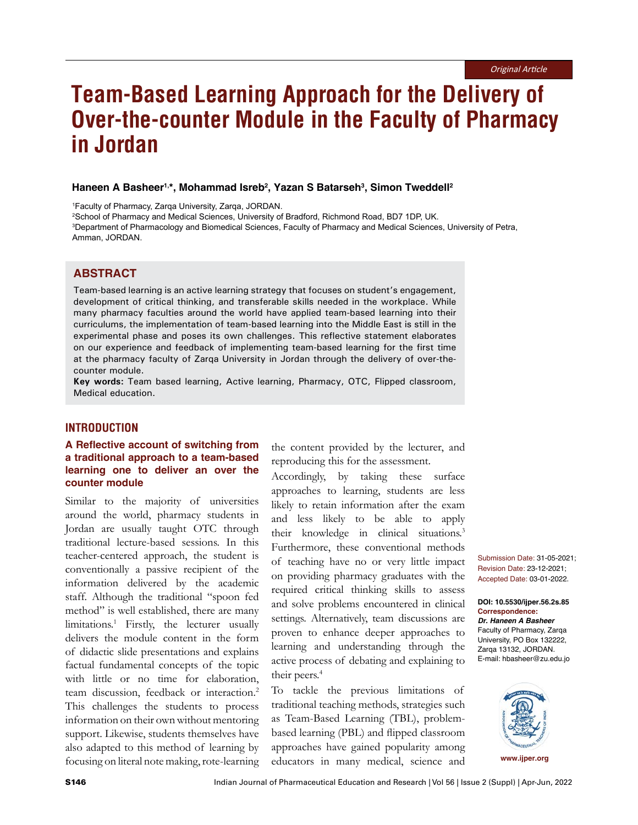# **Team-Based Learning Approach for the Delivery of Over-the-counter Module in the Faculty of Pharmacy in Jordan**

### **Haneen A Basheer1,\*, Mohammad Isreb2 , Yazan S Batarseh3 , Simon Tweddell2**

1 Faculty of Pharmacy, Zarqa University, Zarqa, JORDAN.

2 School of Pharmacy and Medical Sciences, University of Bradford, Richmond Road, BD7 1DP, UK. 3 Department of Pharmacology and Biomedical Sciences, Faculty of Pharmacy and Medical Sciences, University of Petra, Amman, JORDAN.

### **ABSTRACT**

Team-based learning is an active learning strategy that focuses on student's engagement, development of critical thinking, and transferable skills needed in the workplace. While many pharmacy faculties around the world have applied team-based learning into their curriculums, the implementation of team-based learning into the Middle East is still in the experimental phase and poses its own challenges. This reflective statement elaborates on our experience and feedback of implementing team-based learning for the first time at the pharmacy faculty of Zarqa University in Jordan through the delivery of over-thecounter module.

**Key words:** Team based learning, Active learning, Pharmacy, OTC, Flipped classroom, Medical education.

#### **INTRODUCTION**

# **A Reflective account of switching from a traditional approach to a team-based learning one to deliver an over the counter module**

Similar to the majority of universities around the world, pharmacy students in Jordan are usually taught OTC through traditional lecture-based sessions. In this teacher-centered approach, the student is conventionally a passive recipient of the information delivered by the academic staff. Although the traditional "spoon fed method" is well established, there are many limitations.1 Firstly, the lecturer usually delivers the module content in the form of didactic slide presentations and explains factual fundamental concepts of the topic with little or no time for elaboration, team discussion, feedback or interaction.<sup>2</sup> This challenges the students to process information on their own without mentoring support. Likewise, students themselves have also adapted to this method of learning by focusing on literal note making, rote-learning

the content provided by the lecturer, and reproducing this for the assessment.

Accordingly, by taking these surface approaches to learning, students are less likely to retain information after the exam and less likely to be able to apply their knowledge in clinical situations.<sup>3</sup> Furthermore, these conventional methods of teaching have no or very little impact on providing pharmacy graduates with the required critical thinking skills to assess and solve problems encountered in clinical settings. Alternatively, team discussions are proven to enhance deeper approaches to learning and understanding through the active process of debating and explaining to their peers.<sup>4</sup>

To tackle the previous limitations of traditional teaching methods, strategies such as Team-Based Learning (TBL), problembased learning (PBL) and flipped classroom approaches have gained popularity among educators in many medical, science and

Submission Date: 31-05-2021; Revision Date: 23-12-2021; Accepted Date: 03-01-2022.

**DOI: 10.5530/ijper.56.2s.85 Correspondence:** *Dr. Haneen A Basheer* Faculty of Pharmacy, Zarqa University, PO Box 132222, Zarqa 13132, JORDAN. E-mail: hbasheer@zu.edu.jo

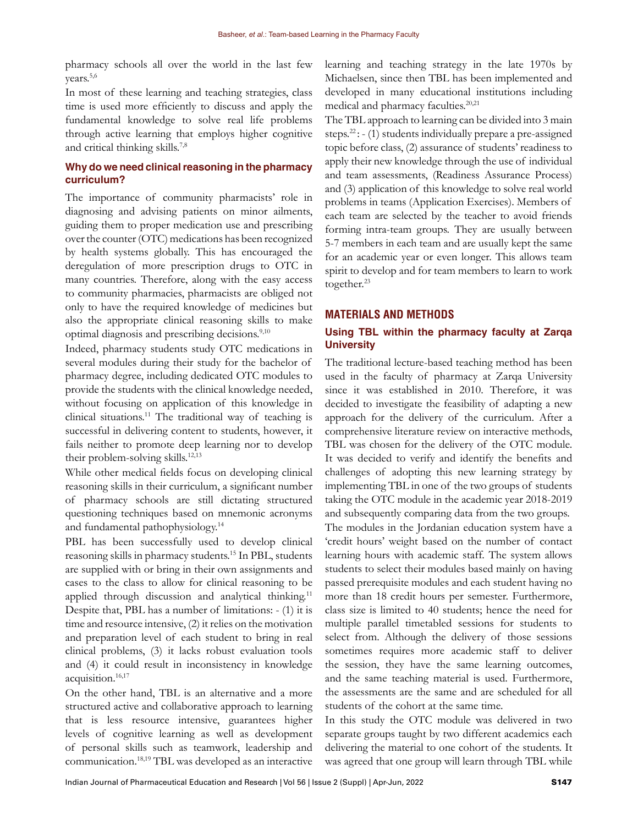pharmacy schools all over the world in the last few vears.<sup>5,6</sup>

In most of these learning and teaching strategies, class time is used more efficiently to discuss and apply the fundamental knowledge to solve real life problems through active learning that employs higher cognitive and critical thinking skills.7,8

# **Why do we need clinical reasoning in the pharmacy curriculum?**

The importance of community pharmacists' role in diagnosing and advising patients on minor ailments, guiding them to proper medication use and prescribing over the counter (OTC) medications has been recognized by health systems globally. This has encouraged the deregulation of more prescription drugs to OTC in many countries. Therefore, along with the easy access to community pharmacies, pharmacists are obliged not only to have the required knowledge of medicines but also the appropriate clinical reasoning skills to make optimal diagnosis and prescribing decisions.<sup>9,10</sup>

Indeed, pharmacy students study OTC medications in several modules during their study for the bachelor of pharmacy degree, including dedicated OTC modules to provide the students with the clinical knowledge needed, without focusing on application of this knowledge in clinical situations.11 The traditional way of teaching is successful in delivering content to students, however, it fails neither to promote deep learning nor to develop their problem-solving skills.<sup>12,13</sup>

While other medical fields focus on developing clinical reasoning skills in their curriculum, a significant number of pharmacy schools are still dictating structured questioning techniques based on mnemonic acronyms and fundamental pathophysiology.14

PBL has been successfully used to develop clinical reasoning skills in pharmacy students.<sup>15</sup> In PBL, students are supplied with or bring in their own assignments and cases to the class to allow for clinical reasoning to be applied through discussion and analytical thinking.<sup>11</sup> Despite that, PBL has a number of limitations: - (1) it is time and resource intensive, (2) it relies on the motivation and preparation level of each student to bring in real clinical problems, (3) it lacks robust evaluation tools and (4) it could result in inconsistency in knowledge acquisition.16,17

On the other hand, TBL is an alternative and a more structured active and collaborative approach to learning that is less resource intensive, guarantees higher levels of cognitive learning as well as development of personal skills such as teamwork, leadership and communication.18,19 TBL was developed as an interactive

learning and teaching strategy in the late 1970s by Michaelsen, since then TBL has been implemented and developed in many educational institutions including medical and pharmacy faculties.<sup>20,21</sup>

The TBL approach to learning can be divided into 3 main steps.<sup>22</sup> :  $-$  (1) students individually prepare a pre-assigned topic before class, (2) assurance of students' readiness to apply their new knowledge through the use of individual and team assessments, (Readiness Assurance Process) and (3) application of this knowledge to solve real world problems in teams (Application Exercises). Members of each team are selected by the teacher to avoid friends forming intra-team groups. They are usually between 5-7 members in each team and are usually kept the same for an academic year or even longer. This allows team spirit to develop and for team members to learn to work together.<sup>23</sup>

# **MATERIALS AND METHODS**

### **Using TBL within the pharmacy faculty at Zarqa University**

The traditional lecture-based teaching method has been used in the faculty of pharmacy at Zarqa University since it was established in 2010. Therefore, it was decided to investigate the feasibility of adapting a new approach for the delivery of the curriculum. After a comprehensive literature review on interactive methods, TBL was chosen for the delivery of the OTC module. It was decided to verify and identify the benefits and challenges of adopting this new learning strategy by implementing TBL in one of the two groups of students taking the OTC module in the academic year 2018-2019 and subsequently comparing data from the two groups. The modules in the Jordanian education system have a 'credit hours' weight based on the number of contact learning hours with academic staff. The system allows students to select their modules based mainly on having passed prerequisite modules and each student having no more than 18 credit hours per semester. Furthermore, class size is limited to 40 students; hence the need for multiple parallel timetabled sessions for students to select from. Although the delivery of those sessions sometimes requires more academic staff to deliver the session, they have the same learning outcomes, and the same teaching material is used. Furthermore, the assessments are the same and are scheduled for all students of the cohort at the same time.

In this study the OTC module was delivered in two separate groups taught by two different academics each delivering the material to one cohort of the students. It was agreed that one group will learn through TBL while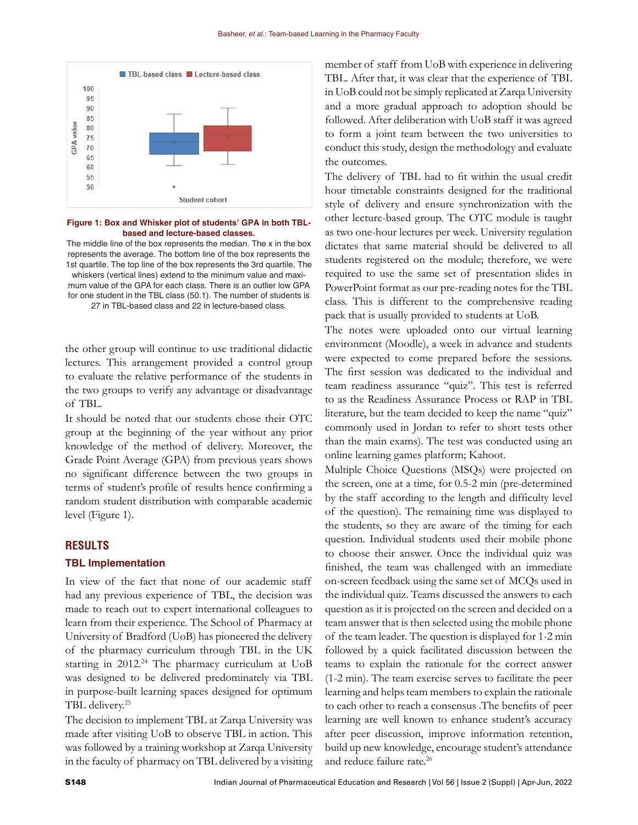

**Figure 1: Box and Whisker plot of students' GPA in both TBLbased and lecture-based classes.**

The middle line of the box represents the median. The x in the box represents the average. The bottom line of the box represents the 1st quartile. The top line of the box represents the 3rd quartile. The whiskers (vertical lines) extend to the minimum value and maximum value of the GPA for each class. There is an outlier low GPA for one student in the TBL class (50.1). The number of students is 27 in TBL-based class and 22 in lecture-based class.

the other group will continue to use traditional didactic lectures. This arrangement provided a control group to evaluate the relative performance of the students in the two groups to verify any advantage or disadvantage of TBL.

It should be noted that our students chose their OTC group at the beginning of the year without any prior knowledge of the method of delivery. Moreover, the Grade Point Average (GPA) from previous years shows no significant difference between the two groups in terms of student's profile of results hence confirming a random student distribution with comparable academic level (Figure 1).

#### **RESULTS**

#### **TBL Implementation**

In view of the fact that none of our academic staff had any previous experience of TBL, the decision was made to reach out to expert international colleagues to learn from their experience. The School of Pharmacy at University of Bradford (UoB) has pioneered the delivery of the pharmacy curriculum through TBL in the UK starting in  $2012<sup>24</sup>$  The pharmacy curriculum at UoB was designed to be delivered predominately via TBL in purpose-built learning spaces designed for optimum TBL delivery.25

The decision to implement TBL at Zarqa University was made after visiting UoB to observe TBL in action. This was followed by a training workshop at Zarqa University in the faculty of pharmacy on TBL delivered by a visiting member of staff from UoB with experience in delivering TBL. After that, it was clear that the experience of TBL in UoB could not be simply replicated at Zarqa University and a more gradual approach to adoption should be followed. After deliberation with UoB staff it was agreed to form a joint team between the two universities to conduct this study, design the methodology and evaluate the outcomes.

The delivery of TBL had to fit within the usual credit hour timetable constraints designed for the traditional style of delivery and ensure synchronization with the other lecture-based group. The OTC module is taught as two one-hour lectures per week. University regulation dictates that same material should be delivered to all students registered on the module; therefore, we were required to use the same set of presentation slides in PowerPoint format as our pre-reading notes for the TBL class. This is different to the comprehensive reading pack that is usually provided to students at UoB.

The notes were uploaded onto our virtual learning environment (Moodle), a week in advance and students were expected to come prepared before the sessions. The first session was dedicated to the individual and team readiness assurance "quiz". This test is referred to as the Readiness Assurance Process or RAP in TBL literature, but the team decided to keep the name "quiz" commonly used in Jordan to refer to short tests other than the main exams). The test was conducted using an online learning games platform; Kahoot.

Multiple Choice Questions (MSQs) were projected on the screen, one at a time, for 0.5-2 min (pre-determined by the staff according to the length and difficulty level of the question). The remaining time was displayed to the students, so they are aware of the timing for each question. Individual students used their mobile phone to choose their answer. Once the individual quiz was finished, the team was challenged with an immediate on-screen feedback using the same set of MCQs used in the individual quiz. Teams discussed the answers to each question as it is projected on the screen and decided on a team answer that is then selected using the mobile phone of the team leader. The question is displayed for 1-2 min followed by a quick facilitated discussion between the teams to explain the rationale for the correct answer (1-2 min). The team exercise serves to facilitate the peer learning and helps team members to explain the rationale to each other to reach a consensus .The benefits of peer learning are well known to enhance student's accuracy after peer discussion, improve information retention, build up new knowledge, encourage student's attendance and reduce failure rate.<sup>26</sup>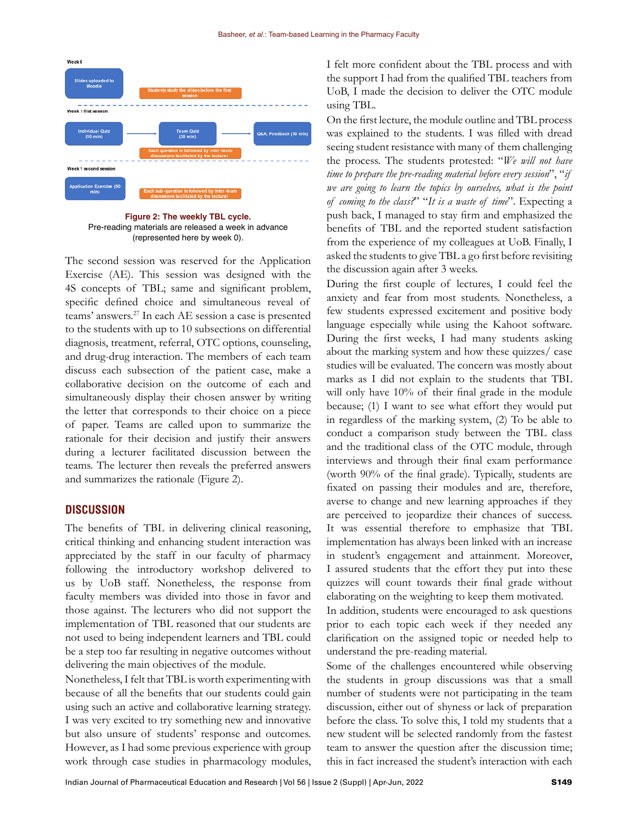

**Figure 2: The weekly TBL cycle.** Pre-reading materials are released a week in advance (represented here by week 0).

The second session was reserved for the Application Exercise (AE). This session was designed with the 4S concepts of TBL; same and significant problem, specific defined choice and simultaneous reveal of teams' answers.27 In each AE session a case is presented to the students with up to 10 subsections on differential diagnosis, treatment, referral, OTC options, counseling, and drug-drug interaction. The members of each team discuss each subsection of the patient case, make a collaborative decision on the outcome of each and simultaneously display their chosen answer by writing the letter that corresponds to their choice on a piece of paper. Teams are called upon to summarize the rationale for their decision and justify their answers during a lecturer facilitated discussion between the teams. The lecturer then reveals the preferred answers and summarizes the rationale (Figure 2).

#### **DISCUSSION**

The benefits of TBL in delivering clinical reasoning, critical thinking and enhancing student interaction was appreciated by the staff in our faculty of pharmacy following the introductory workshop delivered to us by UoB staff. Nonetheless, the response from faculty members was divided into those in favor and those against. The lecturers who did not support the implementation of TBL reasoned that our students are not used to being independent learners and TBL could be a step too far resulting in negative outcomes without delivering the main objectives of the module.

Nonetheless, I felt that TBL is worth experimenting with because of all the benefits that our students could gain using such an active and collaborative learning strategy. I was very excited to try something new and innovative but also unsure of students' response and outcomes. However, as I had some previous experience with group work through case studies in pharmacology modules, I felt more confident about the TBL process and with the support I had from the qualified TBL teachers from UoB, I made the decision to deliver the OTC module using TBL.

On the first lecture, the module outline and TBL process was explained to the students. I was filled with dread seeing student resistance with many of them challenging the process. The students protested: "*We will not have time to prepare the pre-reading material before every session*", "*if we are going to learn the topics by ourselves, what is the point of coming to the class?*" "*It is a waste of time*". Expecting a push back, I managed to stay firm and emphasized the benefits of TBL and the reported student satisfaction from the experience of my colleagues at UoB. Finally, I asked the students to give TBL a go first before revisiting the discussion again after 3 weeks.

During the first couple of lectures, I could feel the anxiety and fear from most students. Nonetheless, a few students expressed excitement and positive body language especially while using the Kahoot software. During the first weeks, I had many students asking about the marking system and how these quizzes/ case studies will be evaluated. The concern was mostly about marks as I did not explain to the students that TBL will only have 10% of their final grade in the module because; (1) I want to see what effort they would put in regardless of the marking system, (2) To be able to conduct a comparison study between the TBL class and the traditional class of the OTC module, through interviews and through their final exam performance (worth 90% of the final grade). Typically, students are fixated on passing their modules and are, therefore, averse to change and new learning approaches if they are perceived to jeopardize their chances of success. It was essential therefore to emphasize that TBL implementation has always been linked with an increase in student's engagement and attainment. Moreover, I assured students that the effort they put into these quizzes will count towards their final grade without elaborating on the weighting to keep them motivated.

In addition, students were encouraged to ask questions prior to each topic each week if they needed any clarification on the assigned topic or needed help to understand the pre-reading material.

Some of the challenges encountered while observing the students in group discussions was that a small number of students were not participating in the team discussion, either out of shyness or lack of preparation before the class. To solve this, I told my students that a new student will be selected randomly from the fastest team to answer the question after the discussion time; this in fact increased the student's interaction with each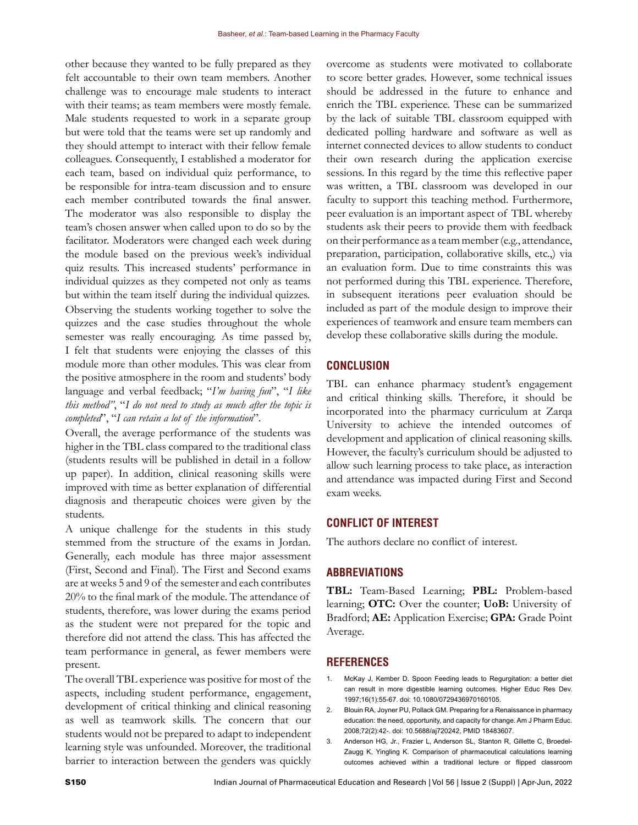other because they wanted to be fully prepared as they felt accountable to their own team members. Another challenge was to encourage male students to interact with their teams; as team members were mostly female. Male students requested to work in a separate group but were told that the teams were set up randomly and they should attempt to interact with their fellow female colleagues. Consequently, I established a moderator for each team, based on individual quiz performance, to be responsible for intra-team discussion and to ensure each member contributed towards the final answer. The moderator was also responsible to display the team's chosen answer when called upon to do so by the facilitator. Moderators were changed each week during the module based on the previous week's individual quiz results. This increased students' performance in individual quizzes as they competed not only as teams but within the team itself during the individual quizzes. Observing the students working together to solve the quizzes and the case studies throughout the whole semester was really encouraging. As time passed by, I felt that students were enjoying the classes of this module more than other modules. This was clear from the positive atmosphere in the room and students' body language and verbal feedback; "*I'm having fun*", "*I like this method"*, "*I do not need to study as much after the topic is completed*", "*I can retain a lot of the information*".

Overall, the average performance of the students was higher in the TBL class compared to the traditional class (students results will be published in detail in a follow up paper). In addition, clinical reasoning skills were improved with time as better explanation of differential diagnosis and therapeutic choices were given by the students.

A unique challenge for the students in this study stemmed from the structure of the exams in Jordan. Generally, each module has three major assessment (First, Second and Final). The First and Second exams are at weeks 5 and 9 of the semester and each contributes 20% to the final mark of the module. The attendance of students, therefore, was lower during the exams period as the student were not prepared for the topic and therefore did not attend the class. This has affected the team performance in general, as fewer members were present.

The overall TBL experience was positive for most of the aspects, including student performance, engagement, development of critical thinking and clinical reasoning as well as teamwork skills. The concern that our students would not be prepared to adapt to independent learning style was unfounded. Moreover, the traditional barrier to interaction between the genders was quickly overcome as students were motivated to collaborate to score better grades. However, some technical issues should be addressed in the future to enhance and enrich the TBL experience. These can be summarized by the lack of suitable TBL classroom equipped with dedicated polling hardware and software as well as internet connected devices to allow students to conduct their own research during the application exercise sessions. In this regard by the time this reflective paper was written, a TBL classroom was developed in our faculty to support this teaching method. Furthermore, peer evaluation is an important aspect of TBL whereby students ask their peers to provide them with feedback on their performance as a team member (e.g., attendance, preparation, participation, collaborative skills, etc.,) via an evaluation form. Due to time constraints this was not performed during this TBL experience. Therefore, in subsequent iterations peer evaluation should be included as part of the module design to improve their experiences of teamwork and ensure team members can develop these collaborative skills during the module.

# **CONCLUSION**

TBL can enhance pharmacy student's engagement and critical thinking skills. Therefore, it should be incorporated into the pharmacy curriculum at Zarqa University to achieve the intended outcomes of development and application of clinical reasoning skills. However, the faculty's curriculum should be adjusted to allow such learning process to take place, as interaction and attendance was impacted during First and Second exam weeks.

# **CONFLICT OF INTEREST**

The authors declare no conflict of interest.

#### **ABBREVIATIONS**

**TBL:** Team-Based Learning; **PBL:** Problem-based learning; **OTC:** Over the counter; **UoB:** University of Bradford; **AE:** Application Exercise; **GPA:** Grade Point Average.

#### **REFERENCES**

- 1. McKay J, Kember D. Spoon Feeding leads to Regurgitation: a better diet can result in more digestible learning outcomes. Higher Educ Res Dev. 1997;16(1):55-67. doi: 10.1080/0729436970160105.
- 2. Blouin RA, Joyner PU, Pollack GM. Preparing for a Renaissance in pharmacy education: the need, opportunity, and capacity for change. Am J Pharm Educ. 2008;72(2):42-. doi: 10.5688/aj720242, PMID 18483607.
- 3. Anderson HG, Jr., Frazier L, Anderson SL, Stanton R, Gillette C, Broedel-Zaugg K, Yingling K. Comparison of pharmaceutical calculations learning outcomes achieved within a traditional lecture or flipped classroom